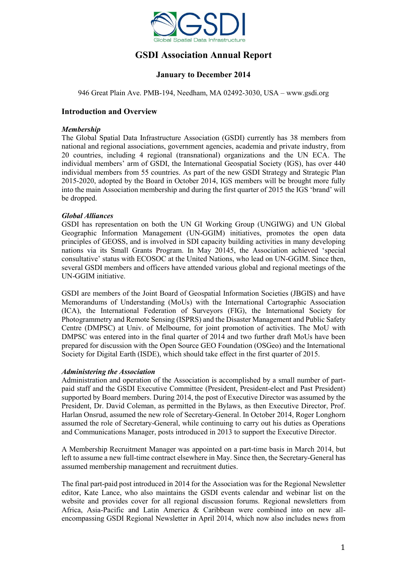

# **GSDI Association Annual Report**

# **January to December 2014**

946 Great Plain Ave. PMB-194, Needham, MA 02492-3030, USA – www.gsdi.org

# **Introduction and Overview**

#### *Membership*

The Global Spatial Data Infrastructure Association (GSDI) currently has 38 members from national and regional associations, government agencies, academia and private industry, from 20 countries, including 4 regional (transnational) organizations and the UN ECA. The individual members' arm of GSDI, the International Geospatial Society (IGS), has over 440 individual members from 55 countries. As part of the new GSDI Strategy and Strategic Plan 2015-2020, adopted by the Board in October 2014, IGS members will be brought more fully into the main Association membership and during the first quarter of 2015 the IGS 'brand' will be dropped.

#### *Global Alliances*

GSDI has representation on both the UN GI Working Group (UNGIWG) and UN Global Geographic Information Management (UN-GGIM) initiatives, promotes the open data principles of GEOSS, and is involved in SDI capacity building activities in many developing nations via its Small Grants Program. In May 20145, the Association achieved 'special consultative' status with ECOSOC at the United Nations, who lead on UN-GGIM. Since then, several GSDI members and officers have attended various global and regional meetings of the UN-GGIM initiative.

GSDI are members of the Joint Board of Geospatial Information Societies (JBGIS) and have Memorandums of Understanding (MoUs) with the International Cartographic Association (ICA), the International Federation of Surveyors (FIG), the International Society for Photogrammetry and Remote Sensing (ISPRS) and the Disaster Management and Public Safety Centre (DMPSC) at Univ. of Melbourne, for joint promotion of activities. The MoU with DMPSC was entered into in the final quarter of 2014 and two further draft MoUs have been prepared for discussion with the Open Source GEO Foundation (OSGeo) and the International Society for Digital Earth (ISDE), which should take effect in the first quarter of 2015.

#### *Administering the Association*

Administration and operation of the Association is accomplished by a small number of partpaid staff and the GSDI Executive Committee (President, President-elect and Past President) supported by Board members. During 2014, the post of Executive Director was assumed by the President, Dr. David Coleman, as permitted in the Bylaws, as then Executive Director, Prof. Harlan Onsrud, assumed the new role of Secretary-General. In October 2014, Roger Longhorn assumed the role of Secretary-General, while continuing to carry out his duties as Operations and Communications Manager, posts introduced in 2013 to support the Executive Director.

A Membership Recruitment Manager was appointed on a part-time basis in March 2014, but left to assume a new full-time contract elsewhere in May. Since then, the Secretary-General has assumed membership management and recruitment duties.

The final part-paid post introduced in 2014 for the Association was for the Regional Newsletter editor, Kate Lance, who also maintains the GSDI events calendar and webinar list on the website and provides cover for all regional discussion forums. Regional newsletters from Africa, Asia-Pacific and Latin America & Caribbean were combined into on new allencompassing GSDI Regional Newsletter in April 2014, which now also includes news from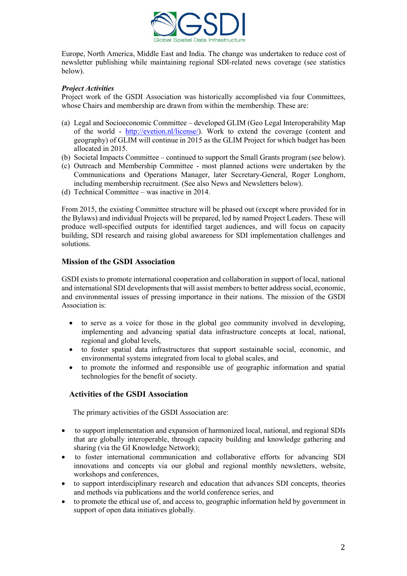

Europe, North America, Middle East and India. The change was undertaken to reduce cost of newsletter publishing while maintaining regional SDI-related news coverage (see statistics below).

## *Project Activities*

Project work of the GSDI Association was historically accomplished via four Committees, whose Chairs and membership are drawn from within the membership. These are:

- (a) Legal and Socioeconomic Committee developed GLIM (Geo Legal Interoperability Map of the world - [http://evetion.nl/license/\)](http://evetion.nl/license/). Work to extend the coverage (content and geography) of GLIM will continue in 2015 as the GLIM Project for which budget has been allocated in 2015.
- (b) Societal Impacts Committee continued to support the Small Grants program (see below).
- (c) Outreach and Membership Committee most planned actions were undertaken by the Communications and Operations Manager, later Secretary-General, Roger Longhorn, including membership recruitment. (See also News and Newsletters below).
- (d) Technical Committee was inactive in 2014.

From 2015, the existing Committee structure will be phased out (except where provided for in the Bylaws) and individual Projects will be prepared, led by named Project Leaders. These will produce well-specified outputs for identified target audiences, and will focus on capacity building, SDI research and raising global awareness for SDI implementation challenges and solutions.

# **Mission of the GSDI Association**

GSDI exists to promote international cooperation and collaboration in support of local, national and international SDI developments that will assist members to better address social, economic, and environmental issues of pressing importance in their nations. The mission of the GSDI Association is:

- to serve as a voice for those in the global geo community involved in developing, implementing and advancing spatial data infrastructure concepts at local, national, regional and global levels,
- to foster spatial data infrastructures that support sustainable social, economic, and environmental systems integrated from local to global scales, and
- to promote the informed and responsible use of geographic information and spatial technologies for the benefit of society.

# **Activities of the GSDI Association**

The primary activities of the GSDI Association are:

- to support implementation and expansion of harmonized local, national, and regional SDIs that are globally interoperable, through capacity building and knowledge gathering and sharing (via the GI Knowledge Network);
- to foster international communication and collaborative efforts for advancing SDI innovations and concepts via our global and regional monthly newsletters, website, workshops and conferences,
- to support interdisciplinary research and education that advances SDI concepts, theories and methods via publications and the world conference series, and
- to promote the ethical use of, and access to, geographic information held by government in support of open data initiatives globally.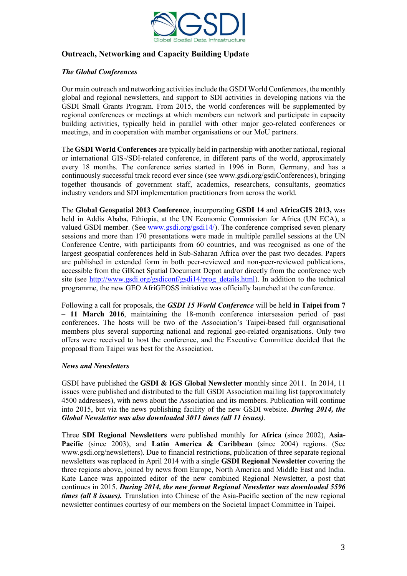

# **Outreach, Networking and Capacity Building Update**

# *The Global Conferences*

Our main outreach and networking activities include the GSDI World Conferences, the monthly global and regional newsletters, and support to SDI activities in developing nations via the GSDI Small Grants Program. From 2015, the world conferences will be supplemented by regional conferences or meetings at which members can network and participate in capacity building activities, typically held in parallel with other major geo-related conferences or meetings, and in cooperation with member organisations or our MoU partners.

The **GSDI World Conferences** are typically held in partnership with another national, regional or international GIS-/SDI-related conference, in different parts of the world, approximately every 18 months. The conference series started in 1996 in Bonn, Germany, and has a continuously successful track record ever since (see www.gsdi.org/gsdiConferences), bringing together thousands of government staff, academics, researchers, consultants, geomatics industry vendors and SDI implementation practitioners from across the world.

The **Global Geospatial 2013 Conference**, incorporating **GSDI 14** and **AfricaGIS 2013,** was held in Addis Ababa, Ethiopia, at the UN Economic Commission for Africa (UN ECA), a valued GSDI member. (See [www.gsdi.org/gsdi14/\)](http://www.gsdi.org/gsdi14/). The conference comprised seven plenary sessions and more than 170 presentations were made in multiple parallel sessions at the UN Conference Centre, with participants from 60 countries, and was recognised as one of the largest geospatial conferences held in Sub-Saharan Africa over the past two decades. Papers are published in extended form in both peer-reviewed and non-peer-reviewed publications, accessible from the GIKnet Spatial Document Depot and/or directly from the conference web site (see [http://www.gsdi.org/gsdiconf/gsdi14/prog\\_details.html\)](http://www.gsdi.org/gsdiconf/gsdi14/prog_details.html). In addition to the technical programme, the new GEO AfriGEOSS initiative was officially launched at the conference.

Following a call for proposals, the *GSDI 15 World Conference* will be held **in Taipei from 7 – 11 March 2016**, maintaining the 18-month conference intersession period of past conferences. The hosts will be two of the Association's Taipei-based full organisational members plus several supporting national and regional geo-related organisations. Only two offers were received to host the conference, and the Executive Committee decided that the proposal from Taipei was best for the Association.

#### *News and Newsletters*

GSDI have published the **GSDI & IGS Global Newsletter** monthly since 2011. In 2014, 11 issues were published and distributed to the full GSDI Association mailing list (approximately 4500 addressees), with news about the Association and its members. Publication will continue into 2015, but via the news publishing facility of the new GSDI website. *During 2014, the Global Newsletter was also downloaded 3011 times (all 11 issues)*.

Three **SDI Regional Newsletters** were published monthly for **Africa** (since 2002), **Asia-Pacific** (since 2003), and **Latin America & Caribbean** (since 2004) regions. (See www.gsdi.org/newsletters). Due to financial restrictions, publication of three separate regional newsletters was replaced in April 2014 with a single **GSDI Regional Newsletter** covering the three regions above, joined by news from Europe, North America and Middle East and India. Kate Lance was appointed editor of the new combined Regional Newsletter, a post that continues in 2015. *During 2014, the new format Regional Newsletter was downloaded 5596 times (all 8 issues).* Translation into Chinese of the Asia-Pacific section of the new regional newsletter continues courtesy of our members on the Societal Impact Committee in Taipei.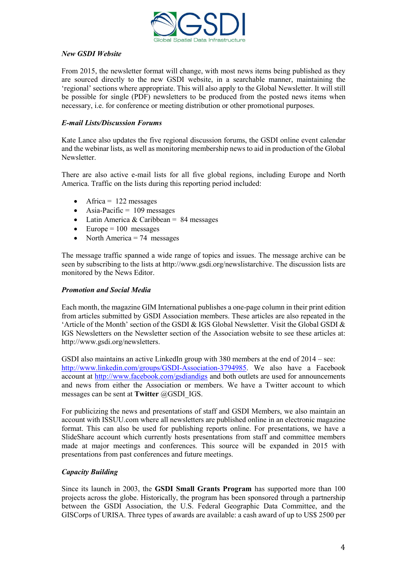

## *New GSDI Website*

From 2015, the newsletter format will change, with most news items being published as they are sourced directly to the new GSDI website, in a searchable manner, maintaining the 'regional' sections where appropriate. This will also apply to the Global Newsletter. It will still be possible for single (PDF) newsletters to be produced from the posted news items when necessary, i.e. for conference or meeting distribution or other promotional purposes.

#### *E-mail Lists/Discussion Forums*

Kate Lance also updates the five regional discussion forums, the GSDI online event calendar and the webinar lists, as well as monitoring membership news to aid in production of the Global Newsletter.

There are also active e-mail lists for all five global regions, including Europe and North America. Traffic on the lists during this reporting period included:

- $\bullet$  Africa = 122 messages
- $\bullet$  Asia-Pacific = 109 messages
- Latin America & Caribbean =  $84$  messages
- $\bullet$  Europe = 100 messages
- North America  $= 74$  messages

The message traffic spanned a wide range of topics and issues. The message archive can be seen by subscribing to the lists at http://www.gsdi.org/newslistarchive. The discussion lists are monitored by the News Editor.

#### *Promotion and Social Media*

Each month, the magazine GIM International publishes a one-page column in their print edition from articles submitted by GSDI Association members. These articles are also repeated in the 'Article of the Month' section of the GSDI & IGS Global Newsletter. Visit the Global GSDI & IGS Newsletters on the Newsletter section of the Association website to see these articles at: http://www.gsdi.org/newsletters.

GSDI also maintains an active LinkedIn group with 380 members at the end of 2014 – see: [http://www.linkedin.com/groups/GSDI-Association-3794985.](http://www.linkedin.com/groups/GSDI-Association-3794985) We also have a Facebook account at<http://www.facebook.com/gsdiandigs> and both outlets are used for announcements and news from either the Association or members. We have a Twitter account to which messages can be sent at **Twitter** @GSDI\_IGS.

For publicizing the news and presentations of staff and GSDI Members, we also maintain an account with ISSUU.com where all newsletters are published online in an electronic magazine format. This can also be used for publishing reports online. For presentations, we have a SlideShare account which currently hosts presentations from staff and committee members made at major meetings and conferences. This source will be expanded in 2015 with presentations from past conferences and future meetings.

#### *Capacity Building*

Since its launch in 2003, the **GSDI Small Grants Program** has supported more than 100 projects across the globe. Historically, the program has been sponsored through a partnership between the GSDI Association, the U.S. Federal Geographic Data Committee, and the GISCorps of URISA. Three types of awards are available: a cash award of up to US\$ 2500 per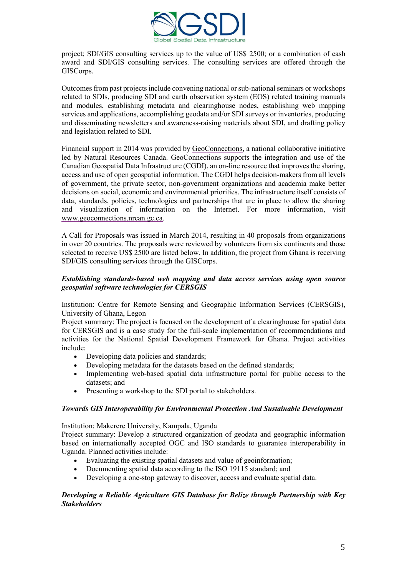

project; SDI/GIS consulting services up to the value of US\$ 2500; or a combination of cash award and SDI/GIS consulting services. The consulting services are offered through the GISCorps.

Outcomes from past projects include convening national or sub-national seminars or workshops related to SDIs, producing SDI and earth observation system (EOS) related training manuals and modules, establishing metadata and clearinghouse nodes, establishing web mapping services and applications, accomplishing geodata and/or SDI surveys or inventories, producing and disseminating newsletters and awareness-raising materials about SDI, and drafting policy and legislation related to SDI.

Financial support in 2014 was provided by [GeoConnections,](http://www.geoconnections.nrcan.gc.ca/) a national collaborative initiative led by Natural Resources Canada. GeoConnections supports the integration and use of the Canadian Geospatial Data Infrastructure (CGDI), an on-line resource that improves the sharing, access and use of open geospatial information. The CGDI helps decision-makers from all levels of government, the private sector, non-government organizations and academia make better decisions on social, economic and environmental priorities. The infrastructure itself consists of data, standards, policies, technologies and partnerships that are in place to allow the sharing and visualization of information on the Internet. For more information, visit [www.geoconnections.nrcan.gc.ca.](http://www.geoconnections.nrcan.gc.ca/)

A Call for Proposals was issued in March 2014, resulting in 40 proposals from organizations in over 20 countries. The proposals were reviewed by volunteers from six continents and those selected to receive US\$ 2500 are listed below. In addition, the project from Ghana is receiving SDI/GIS consulting services through the GISCorps.

## *Establishing standards-based web mapping and data access services using open source geospatial software technologies for CERSGIS*

Institution: Centre for Remote Sensing and Geographic Information Services (CERSGIS), University of Ghana, Legon

Project summary: The project is focused on the development of a clearinghouse for spatial data for CERSGIS and is a case study for the full-scale implementation of recommendations and activities for the National Spatial Development Framework for Ghana. Project activities include:

- Developing data policies and standards;
- Developing metadata for the datasets based on the defined standards;
- Implementing web-based spatial data infrastructure portal for public access to the datasets; and
- Presenting a workshop to the SDI portal to stakeholders.

#### *Towards GIS Interoperability for Environmental Protection And Sustainable Development*

Institution: Makerere University, Kampala, Uganda

Project summary: Develop a structured organization of geodata and geographic information based on internationally accepted OGC and ISO standards to guarantee interoperability in Uganda. Planned activities include:

- Evaluating the existing spatial datasets and value of geoinformation;
- Documenting spatial data according to the ISO 19115 standard; and
- Developing a one-stop gateway to discover, access and evaluate spatial data.

## *Developing a Reliable Agriculture GIS Database for Belize through Partnership with Key Stakeholders*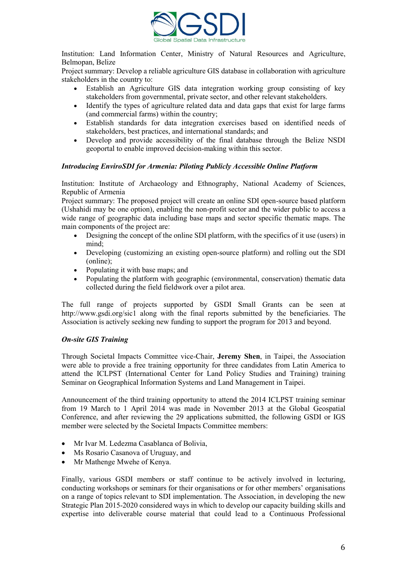

Institution: Land Information Center, Ministry of Natural Resources and Agriculture, Belmopan, Belize

Project summary: Develop a reliable agriculture GIS database in collaboration with agriculture stakeholders in the country to:

- Establish an Agriculture GIS data integration working group consisting of key stakeholders from governmental, private sector, and other relevant stakeholders.
- Identify the types of agriculture related data and data gaps that exist for large farms (and commercial farms) within the country;
- Establish standards for data integration exercises based on identified needs of stakeholders, best practices, and international standards; and
- Develop and provide accessibility of the final database through the Belize NSDI geoportal to enable improved decision-making within this sector.

#### *Introducing EnviroSDI for Armenia: Piloting Publicly Accessible Online Platform*

Institution: Institute of Archaeology and Ethnography, National Academy of Sciences, Republic of Armenia

Project summary: The proposed project will create an online SDI open-source based platform (Ushahidi may be one option), enabling the non-profit sector and the wider public to access a wide range of geographic data including base maps and sector specific thematic maps. The main components of the project are:

- Designing the concept of the online SDI platform, with the specifics of it use (users) in mind;
- Developing (customizing an existing open-source platform) and rolling out the SDI (online);
- Populating it with base maps; and
- Populating the platform with geographic (environmental, conservation) thematic data collected during the field fieldwork over a pilot area.

The full range of projects supported by GSDI Small Grants can be seen at http://www.gsdi.org/sic1 along with the final reports submitted by the beneficiaries. The Association is actively seeking new funding to support the program for 2013 and beyond.

#### *On-site GIS Training*

Through Societal Impacts Committee vice-Chair, **Jeremy Shen**, in Taipei, the Association were able to provide a free training opportunity for three candidates from Latin America to attend the ICLPST (International Center for Land Policy Studies and Training) training Seminar on Geographical Information Systems and Land Management in Taipei.

Announcement of the third training opportunity to attend the 2014 ICLPST training seminar from 19 March to 1 April 2014 was made in November 2013 at the Global Geospatial Conference, and after reviewing the 29 applications submitted, the following GSDI or IGS member were selected by the Societal Impacts Committee members:

- Mr Ivar M. Ledezma Casablanca of Bolivia,
- Ms Rosario Casanova of Uruguay, and
- Mr Mathenge Mwehe of Kenya.

Finally, various GSDI members or staff continue to be actively involved in lecturing, conducting workshops or seminars for their organisations or for other members' organisations on a range of topics relevant to SDI implementation. The Association, in developing the new Strategic Plan 2015-2020 considered ways in which to develop our capacity building skills and expertise into deliverable course material that could lead to a Continuous Professional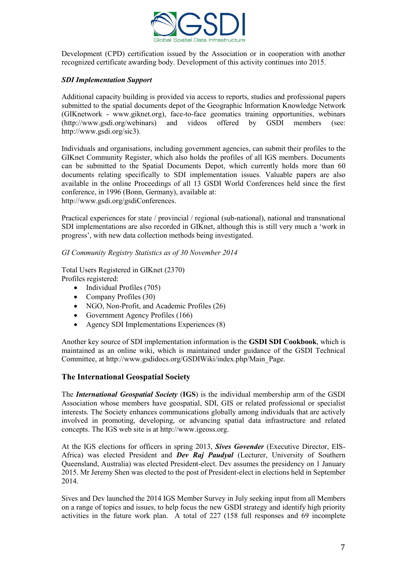

Development (CPD) certification issued by the Association or in cooperation with another recognized certificate awarding body. Development of this activity continues into 2015.

## *SDI Implementation Support*

Additional capacity building is provided via access to reports, studies and professional papers submitted to the spatial documents depot of the Geographic Information Knowledge Network (GIKnetwork - www.giknet.org), face-to-face geomatics training opportunities, webinars (http://www.gsdi.org/webinars) and videos offered by GSDI members (see: http://www.gsdi.org/sic3).

Individuals and organisations, including government agencies, can submit their profiles to the GIKnet Community Register, which also holds the profiles of all IGS members. Documents can be submitted to the Spatial Documents Depot, which currently holds more than 60 documents relating specifically to SDI implementation issues. Valuable papers are also available in the online Proceedings of all 13 GSDI World Conferences held since the first conference, in 1996 (Bonn, Germany), available at: http://www.gsdi.org/gsdiConferences.

Practical experiences for state / provincial / regional (sub-national), national and transnational SDI implementations are also recorded in GIKnet, although this is still very much a 'work in progress', with new data collection methods being investigated.

*GI Community Registry Statistics as of 30 November 2014*

Total Users Registered in GIKnet (2370) Profiles registered:

- $\bullet$  Individual Profiles (705)
- Company Profiles (30)
- NGO, Non-Profit, and Academic Profiles (26)
- Government Agency Profiles (166)
- Agency SDI Implementations Experiences (8)

Another key source of SDI implementation information is the **GSDI SDI Cookbook**, which is maintained as an online wiki, which is maintained under guidance of the GSDI Technical Committee, at http://www.gsdidocs.org/GSDIWiki/index.php/Main\_Page.

#### **The International Geospatial Society**

The *International Geospatial Society* (**IGS**) is the individual membership arm of the GSDI Association whose members have geospatial, SDI, GIS or related professional or specialist interests. The Society enhances communications globally among individuals that are actively involved in promoting, developing, or advancing spatial data infrastructure and related concepts. The IGS web site is at http://www.igeoss.org.

At the IGS elections for officers in spring 2013, *Sives Govender* (Executive Director, EIS-Africa) was elected President and *Dev Raj Paudyal* (Lecturer, University of Southern Queensland, Australia) was elected President-elect. Dev assumes the presidency on 1 January 2015. Mr Jeremy Shen was elected to the post of President-elect in elections held in September 2014.

Sives and Dev launched the 2014 IGS Member Survey in July seeking input from all Members on a range of topics and issues, to help focus the new GSDI strategy and identify high priority activities in the future work plan. A total of 227 (158 full responses and 69 incomplete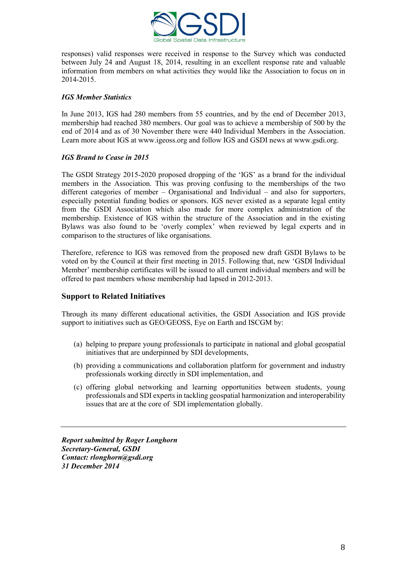

responses) valid responses were received in response to the Survey which was conducted between July 24 and August 18, 2014, resulting in an excellent response rate and valuable information from members on what activities they would like the Association to focus on in 2014-2015.

# *IGS Member Statistics*

In June 2013, IGS had 280 members from 55 countries, and by the end of December 2013, membership had reached 380 members. Our goal was to achieve a membership of 500 by the end of 2014 and as of 30 November there were 440 Individual Members in the Association. Learn more about IGS at www.igeoss.org and follow IGS and GSDI news at www.gsdi.org.

## *IGS Brand to Cease in 2015*

The GSDI Strategy 2015-2020 proposed dropping of the 'IGS' as a brand for the individual members in the Association. This was proving confusing to the memberships of the two different categories of member – Organisational and Individual – and also for supporters, especially potential funding bodies or sponsors. IGS never existed as a separate legal entity from the GSDI Association which also made for more complex administration of the membership. Existence of IGS within the structure of the Association and in the existing Bylaws was also found to be 'overly complex' when reviewed by legal experts and in comparison to the structures of like organisations.

Therefore, reference to IGS was removed from the proposed new draft GSDI Bylaws to be voted on by the Council at their first meeting in 2015. Following that, new 'GSDI Individual Member' membership certificates will be issued to all current individual members and will be offered to past members whose membership had lapsed in 2012-2013.

# **Support to Related Initiatives**

Through its many different educational activities, the GSDI Association and IGS provide support to initiatives such as GEO/GEOSS, Eye on Earth and ISCGM by:

- (a) helping to prepare young professionals to participate in national and global geospatial initiatives that are underpinned by SDI developments,
- (b) providing a communications and collaboration platform for government and industry professionals working directly in SDI implementation, and
- (c) offering global networking and learning opportunities between students, young professionals and SDI experts in tackling geospatial harmonization and interoperability issues that are at the core of SDI implementation globally.

*Report submitted by Roger Longhorn Secretary-General, GSDI Contact: rlonghorn@gsdi.org 31 December 2014*